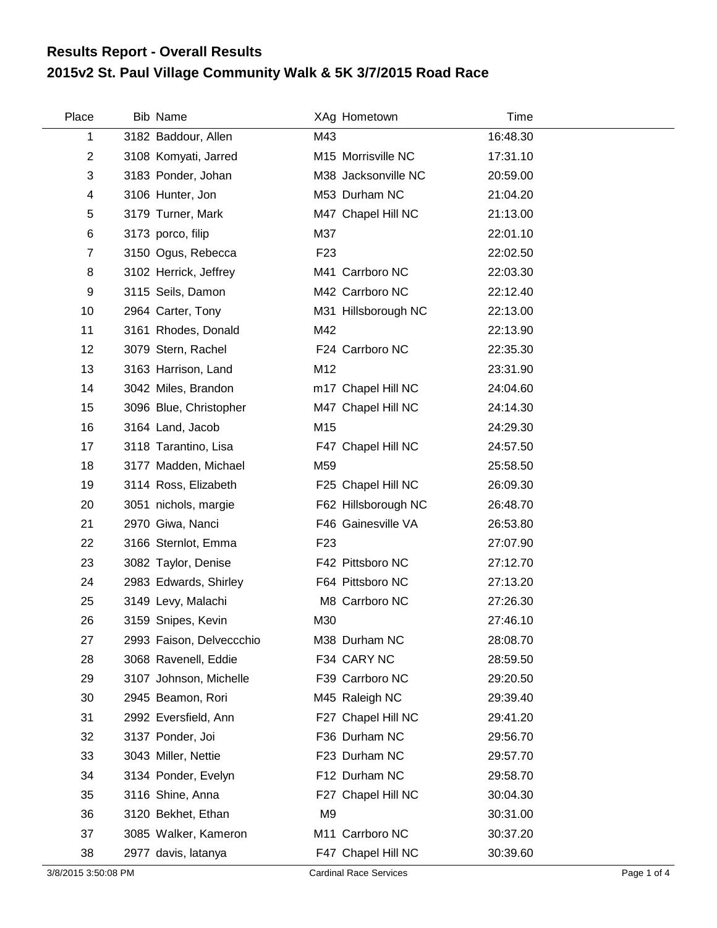## **2015v2 St. Paul Village Community Walk & 5K 3/7/2015 Road Race Results Report - Overall Results**

| Place          | Bib Name                 |                 | XAg Hometown        | Time     |  |
|----------------|--------------------------|-----------------|---------------------|----------|--|
| 1              | 3182 Baddour, Allen      | M43             |                     | 16:48.30 |  |
| 2              | 3108 Komyati, Jarred     |                 | M15 Morrisville NC  | 17:31.10 |  |
| 3              | 3183 Ponder, Johan       |                 | M38 Jacksonville NC | 20:59.00 |  |
| 4              | 3106 Hunter, Jon         |                 | M53 Durham NC       | 21:04.20 |  |
| 5              | 3179 Turner, Mark        |                 | M47 Chapel Hill NC  | 21:13.00 |  |
| 6              | 3173 porco, filip        | M37             |                     | 22:01.10 |  |
| $\overline{7}$ | 3150 Ogus, Rebecca       | F <sub>23</sub> |                     | 22:02.50 |  |
| 8              | 3102 Herrick, Jeffrey    |                 | M41 Carrboro NC     | 22:03.30 |  |
| 9              | 3115 Seils, Damon        |                 | M42 Carrboro NC     | 22:12.40 |  |
| 10             | 2964 Carter, Tony        |                 | M31 Hillsborough NC | 22:13.00 |  |
| 11             | 3161 Rhodes, Donald      | M42             |                     | 22:13.90 |  |
| 12             | 3079 Stern, Rachel       |                 | F24 Carrboro NC     | 22:35.30 |  |
| 13             | 3163 Harrison, Land      | M12             |                     | 23:31.90 |  |
| 14             | 3042 Miles, Brandon      |                 | m17 Chapel Hill NC  | 24:04.60 |  |
| 15             | 3096 Blue, Christopher   |                 | M47 Chapel Hill NC  | 24:14.30 |  |
| 16             | 3164 Land, Jacob         | M15             |                     | 24:29.30 |  |
| 17             | 3118 Tarantino, Lisa     |                 | F47 Chapel Hill NC  | 24:57.50 |  |
| 18             | 3177 Madden, Michael     | M59             |                     | 25:58.50 |  |
| 19             | 3114 Ross, Elizabeth     |                 | F25 Chapel Hill NC  | 26:09.30 |  |
| 20             | 3051 nichols, margie     |                 | F62 Hillsborough NC | 26:48.70 |  |
| 21             | 2970 Giwa, Nanci         |                 | F46 Gainesville VA  | 26:53.80 |  |
| 22             | 3166 Sternlot, Emma      | F <sub>23</sub> |                     | 27:07.90 |  |
| 23             | 3082 Taylor, Denise      |                 | F42 Pittsboro NC    | 27:12.70 |  |
| 24             | 2983 Edwards, Shirley    |                 | F64 Pittsboro NC    | 27:13.20 |  |
| 25             | 3149 Levy, Malachi       |                 | M8 Carrboro NC      | 27:26.30 |  |
| 26             | 3159 Snipes, Kevin       | M30             |                     | 27:46.10 |  |
| 27             | 2993 Faison, Delveccchio |                 | M38 Durham NC       | 28:08.70 |  |
| 28             | 3068 Ravenell, Eddie     |                 | F34 CARY NC         | 28:59.50 |  |
| 29             | 3107 Johnson, Michelle   |                 | F39 Carrboro NC     | 29:20.50 |  |
| 30             | 2945 Beamon, Rori        |                 | M45 Raleigh NC      | 29:39.40 |  |
| 31             | 2992 Eversfield, Ann     |                 | F27 Chapel Hill NC  | 29:41.20 |  |
| 32             | 3137 Ponder, Joi         |                 | F36 Durham NC       | 29:56.70 |  |
| 33             | 3043 Miller, Nettie      |                 | F23 Durham NC       | 29:57.70 |  |
| 34             | 3134 Ponder, Evelyn      |                 | F12 Durham NC       | 29:58.70 |  |
| 35             | 3116 Shine, Anna         |                 | F27 Chapel Hill NC  | 30:04.30 |  |
| 36             | 3120 Bekhet, Ethan       | M9              |                     | 30:31.00 |  |
| 37             | 3085 Walker, Kameron     |                 | M11 Carrboro NC     | 30:37.20 |  |
| 38             | 2977 davis, latanya      |                 | F47 Chapel Hill NC  | 30:39.60 |  |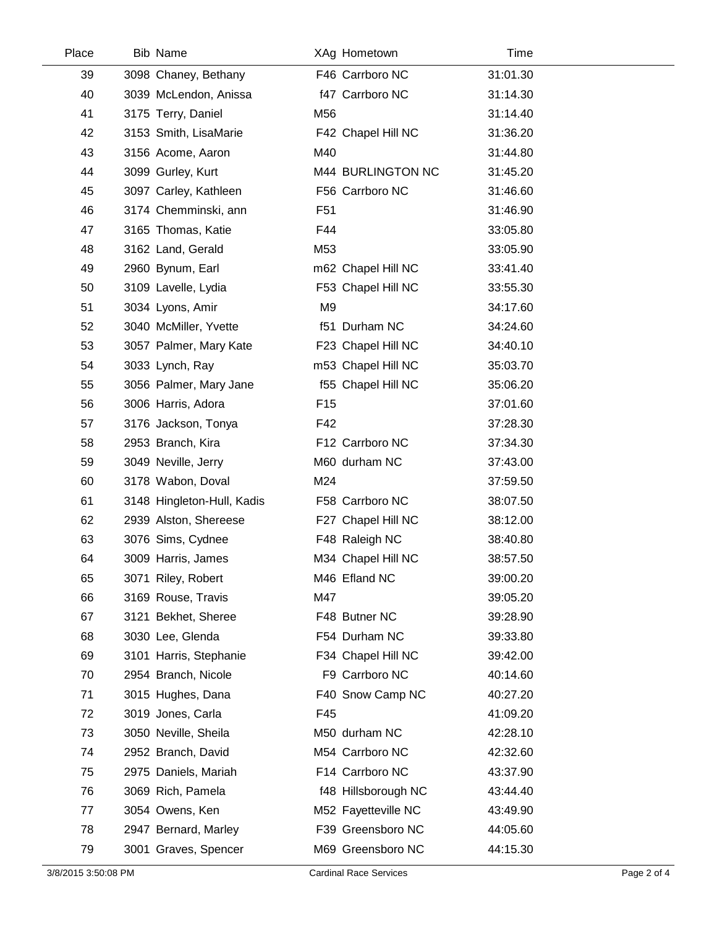| Place | Bib Name                   | XAg Hometown        | <b>Time</b> |  |
|-------|----------------------------|---------------------|-------------|--|
| 39    | 3098 Chaney, Bethany       | F46 Carrboro NC     | 31:01.30    |  |
| 40    | 3039 McLendon, Anissa      | f47 Carrboro NC     | 31:14.30    |  |
| 41    | 3175 Terry, Daniel         | M56                 | 31:14.40    |  |
| 42    | 3153 Smith, LisaMarie      | F42 Chapel Hill NC  | 31:36.20    |  |
| 43    | 3156 Acome, Aaron          | M40                 | 31:44.80    |  |
| 44    | 3099 Gurley, Kurt          | M44 BURLINGTON NC   | 31:45.20    |  |
| 45    | 3097 Carley, Kathleen      | F56 Carrboro NC     | 31:46.60    |  |
| 46    | 3174 Chemminski, ann       | F <sub>51</sub>     | 31:46.90    |  |
| 47    | 3165 Thomas, Katie         | F44                 | 33:05.80    |  |
| 48    | 3162 Land, Gerald          | M53                 | 33:05.90    |  |
| 49    | 2960 Bynum, Earl           | m62 Chapel Hill NC  | 33:41.40    |  |
| 50    | 3109 Lavelle, Lydia        | F53 Chapel Hill NC  | 33:55.30    |  |
| 51    | 3034 Lyons, Amir           | M <sub>9</sub>      | 34:17.60    |  |
| 52    | 3040 McMiller, Yvette      | f51 Durham NC       | 34:24.60    |  |
| 53    | 3057 Palmer, Mary Kate     | F23 Chapel Hill NC  | 34:40.10    |  |
| 54    | 3033 Lynch, Ray            | m53 Chapel Hill NC  | 35:03.70    |  |
| 55    | 3056 Palmer, Mary Jane     | f55 Chapel Hill NC  | 35:06.20    |  |
| 56    | 3006 Harris, Adora         | F <sub>15</sub>     | 37:01.60    |  |
| 57    | 3176 Jackson, Tonya        | F42                 | 37:28.30    |  |
| 58    | 2953 Branch, Kira          | F12 Carrboro NC     | 37:34.30    |  |
| 59    | 3049 Neville, Jerry        | M60 durham NC       | 37:43.00    |  |
| 60    | 3178 Wabon, Doval          | M24                 | 37:59.50    |  |
| 61    | 3148 Hingleton-Hull, Kadis | F58 Carrboro NC     | 38:07.50    |  |
| 62    | 2939 Alston, Shereese      | F27 Chapel Hill NC  | 38:12.00    |  |
| 63    | 3076 Sims, Cydnee          | F48 Raleigh NC      | 38:40.80    |  |
| 64    | 3009 Harris, James         | M34 Chapel Hill NC  | 38:57.50    |  |
| 65    | 3071 Riley, Robert         | M46 Efland NC       | 39:00.20    |  |
| 66    | 3169 Rouse, Travis         | M47                 | 39:05.20    |  |
| 67    | 3121 Bekhet, Sheree        | F48 Butner NC       | 39:28.90    |  |
| 68    | 3030 Lee, Glenda           | F54 Durham NC       | 39:33.80    |  |
| 69    | 3101 Harris, Stephanie     | F34 Chapel Hill NC  | 39:42.00    |  |
| 70    | 2954 Branch, Nicole        | F9 Carrboro NC      | 40:14.60    |  |
| 71    | 3015 Hughes, Dana          | F40 Snow Camp NC    | 40:27.20    |  |
| 72    | 3019 Jones, Carla          | F45                 | 41:09.20    |  |
| 73    | 3050 Neville, Sheila       | M50 durham NC       | 42:28.10    |  |
| 74    | 2952 Branch, David         | M54 Carrboro NC     | 42:32.60    |  |
| 75    | 2975 Daniels, Mariah       | F14 Carrboro NC     | 43:37.90    |  |
| 76    | 3069 Rich, Pamela          | f48 Hillsborough NC | 43:44.40    |  |
| 77    | 3054 Owens, Ken            | M52 Fayetteville NC | 43:49.90    |  |
| 78    | 2947 Bernard, Marley       | F39 Greensboro NC   | 44:05.60    |  |
| 79    | 3001 Graves, Spencer       | M69 Greensboro NC   | 44:15.30    |  |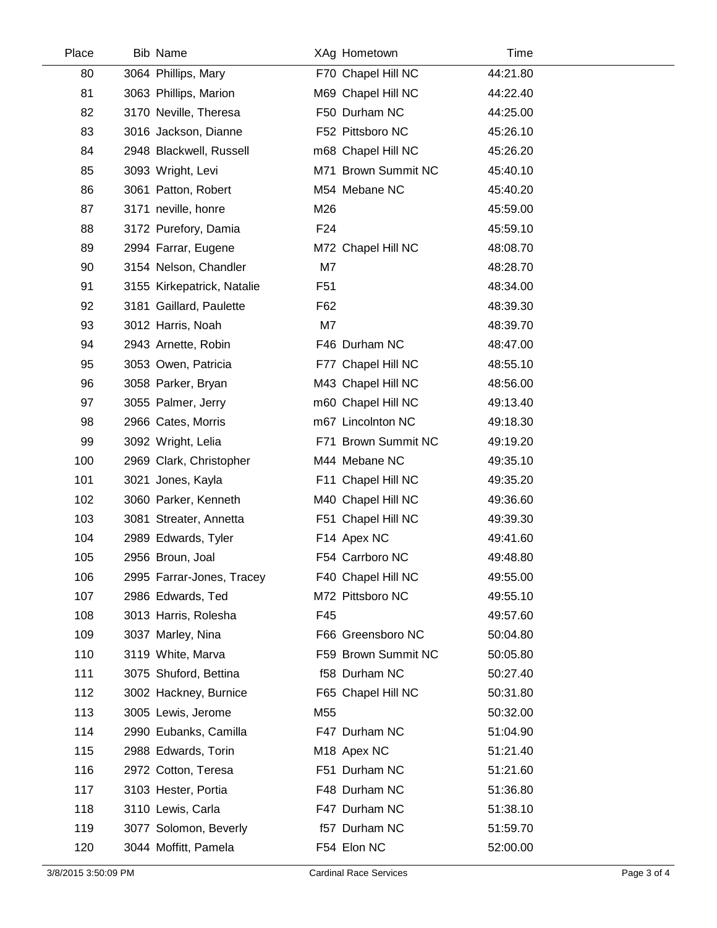| Place | <b>Bib Name</b>            | XAg Hometown        | Time     |  |
|-------|----------------------------|---------------------|----------|--|
| 80    | 3064 Phillips, Mary        | F70 Chapel Hill NC  | 44:21.80 |  |
| 81    | 3063 Phillips, Marion      | M69 Chapel Hill NC  | 44:22.40 |  |
| 82    | 3170 Neville, Theresa      | F50 Durham NC       | 44:25.00 |  |
| 83    | 3016 Jackson, Dianne       | F52 Pittsboro NC    | 45:26.10 |  |
| 84    | 2948 Blackwell, Russell    | m68 Chapel Hill NC  | 45:26.20 |  |
| 85    | 3093 Wright, Levi          | M71 Brown Summit NC | 45:40.10 |  |
| 86    | 3061 Patton, Robert        | M54 Mebane NC       | 45:40.20 |  |
| 87    | 3171 neville, honre        | M26                 | 45:59.00 |  |
| 88    | 3172 Purefory, Damia       | F <sub>24</sub>     | 45:59.10 |  |
| 89    | 2994 Farrar, Eugene        | M72 Chapel Hill NC  | 48:08.70 |  |
| 90    | 3154 Nelson, Chandler      | M7                  | 48:28.70 |  |
| 91    | 3155 Kirkepatrick, Natalie | F <sub>51</sub>     | 48:34.00 |  |
| 92    | 3181 Gaillard, Paulette    | F62                 | 48:39.30 |  |
| 93    | 3012 Harris, Noah          | M7                  | 48:39.70 |  |
| 94    | 2943 Arnette, Robin        | F46 Durham NC       | 48:47.00 |  |
| 95    | 3053 Owen, Patricia        | F77 Chapel Hill NC  | 48:55.10 |  |
| 96    | 3058 Parker, Bryan         | M43 Chapel Hill NC  | 48:56.00 |  |
| 97    | 3055 Palmer, Jerry         | m60 Chapel Hill NC  | 49:13.40 |  |
| 98    | 2966 Cates, Morris         | m67 Lincolnton NC   | 49:18.30 |  |
| 99    | 3092 Wright, Lelia         | F71 Brown Summit NC | 49:19.20 |  |
| 100   | 2969 Clark, Christopher    | M44 Mebane NC       | 49:35.10 |  |
| 101   | 3021 Jones, Kayla          | F11 Chapel Hill NC  | 49:35.20 |  |
| 102   | 3060 Parker, Kenneth       | M40 Chapel Hill NC  | 49:36.60 |  |
| 103   | 3081 Streater, Annetta     | F51 Chapel Hill NC  | 49:39.30 |  |
| 104   | 2989 Edwards, Tyler        | F14 Apex NC         | 49:41.60 |  |
| 105   | 2956 Broun, Joal           | F54 Carrboro NC     | 49:48.80 |  |
| 106   | 2995 Farrar-Jones, Tracey  | F40 Chapel Hill NC  | 49:55.00 |  |
| 107   | 2986 Edwards, Ted          | M72 Pittsboro NC    | 49:55.10 |  |
| 108   | 3013 Harris, Rolesha       | F45                 | 49:57.60 |  |
| 109   | 3037 Marley, Nina          | F66 Greensboro NC   | 50:04.80 |  |
| 110   | 3119 White, Marva          | F59 Brown Summit NC | 50:05.80 |  |
| 111   | 3075 Shuford, Bettina      | f58 Durham NC       | 50:27.40 |  |
| 112   | 3002 Hackney, Burnice      | F65 Chapel Hill NC  | 50:31.80 |  |
| 113   | 3005 Lewis, Jerome         | M55                 | 50:32.00 |  |
| 114   | 2990 Eubanks, Camilla      | F47 Durham NC       | 51:04.90 |  |
| 115   | 2988 Edwards, Torin        | M18 Apex NC         | 51:21.40 |  |
| 116   | 2972 Cotton, Teresa        | F51 Durham NC       | 51:21.60 |  |
| 117   | 3103 Hester, Portia        | F48 Durham NC       | 51:36.80 |  |
| 118   | 3110 Lewis, Carla          | F47 Durham NC       | 51:38.10 |  |
| 119   | 3077 Solomon, Beverly      | f57 Durham NC       | 51:59.70 |  |
| 120   | 3044 Moffitt, Pamela       | F54 Elon NC         | 52:00.00 |  |